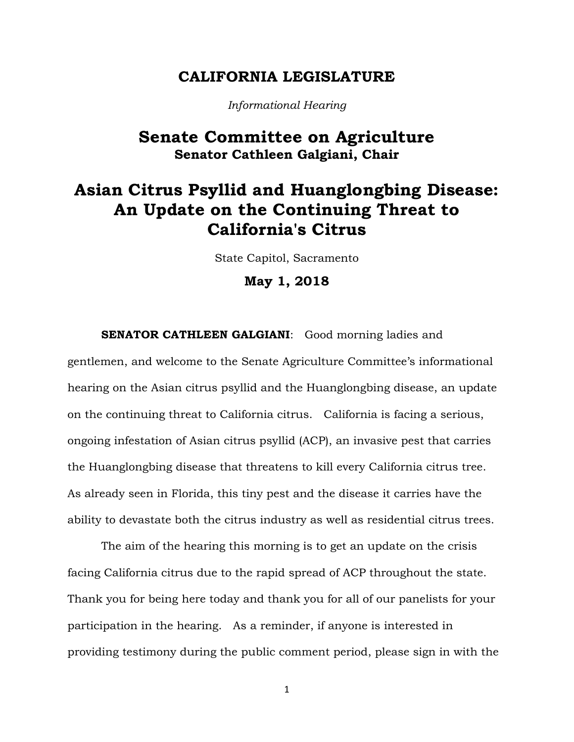### **CALIFORNIA LEGISLATURE**

*Informational Hearing*

## **Senate Committee on Agriculture Senator Cathleen Galgiani, Chair**

# **Asian Citrus Psyllid and Huanglongbing Disease: An Update on the Continuing Threat to California's Citrus**

State Capitol, Sacramento

**May 1, 2018**

**SENATOR CATHLEEN GALGIANI:** Good morning ladies and

gentlemen, and welcome to the Senate Agriculture Committee's informational hearing on the Asian citrus psyllid and the Huanglongbing disease, an update on the continuing threat to California citrus. California is facing a serious, ongoing infestation of Asian citrus psyllid (ACP), an invasive pest that carries the Huanglongbing disease that threatens to kill every California citrus tree. As already seen in Florida, this tiny pest and the disease it carries have the ability to devastate both the citrus industry as well as residential citrus trees.

The aim of the hearing this morning is to get an update on the crisis facing California citrus due to the rapid spread of ACP throughout the state. Thank you for being here today and thank you for all of our panelists for your participation in the hearing. As a reminder, if anyone is interested in providing testimony during the public comment period, please sign in with the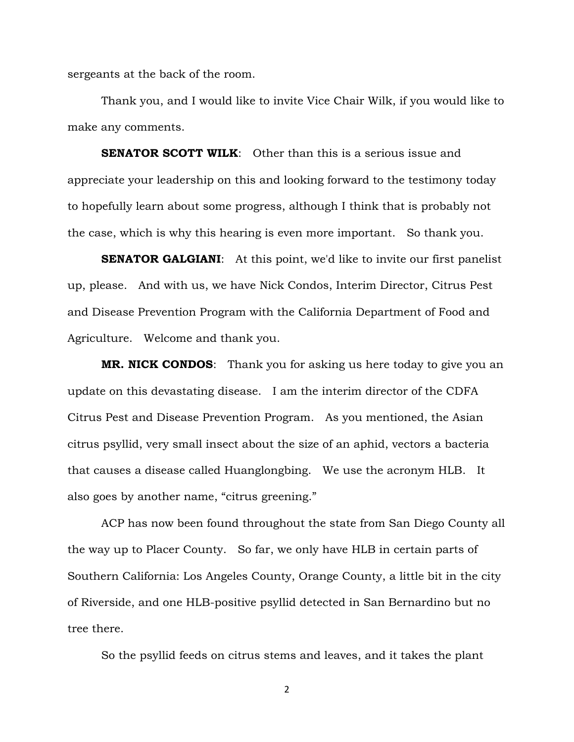sergeants at the back of the room.

Thank you, and I would like to invite Vice Chair Wilk, if you would like to make any comments.

**SENATOR SCOTT WILK**: Other than this is a serious issue and appreciate your leadership on this and looking forward to the testimony today to hopefully learn about some progress, although I think that is probably not the case, which is why this hearing is even more important. So thank you.

**SENATOR GALGIANI:** At this point, we'd like to invite our first panelist up, please. And with us, we have Nick Condos, Interim Director, Citrus Pest and Disease Prevention Program with the California Department of Food and Agriculture. Welcome and thank you.

**MR. NICK CONDOS**: Thank you for asking us here today to give you an update on this devastating disease. I am the interim director of the CDFA Citrus Pest and Disease Prevention Program. As you mentioned, the Asian citrus psyllid, very small insect about the size of an aphid, vectors a bacteria that causes a disease called Huanglongbing. We use the acronym HLB. It also goes by another name, "citrus greening."

ACP has now been found throughout the state from San Diego County all the way up to Placer County. So far, we only have HLB in certain parts of Southern California: Los Angeles County, Orange County, a little bit in the city of Riverside, and one HLB-positive psyllid detected in San Bernardino but no tree there.

So the psyllid feeds on citrus stems and leaves, and it takes the plant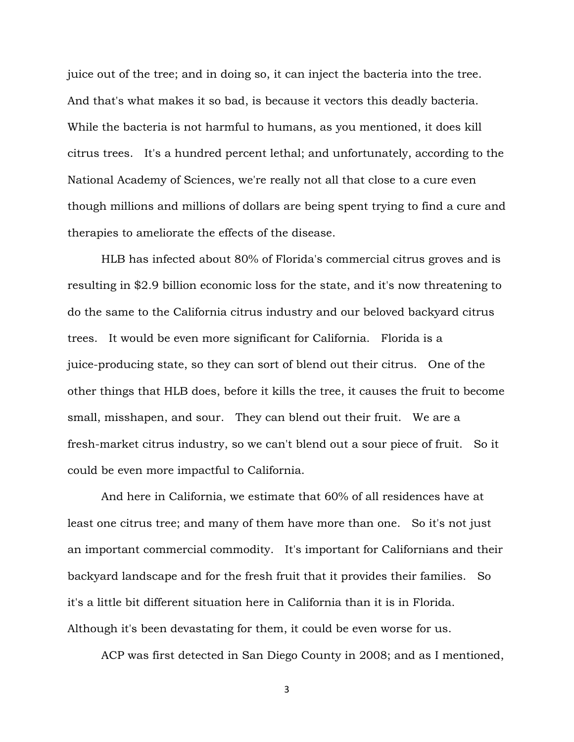juice out of the tree; and in doing so, it can inject the bacteria into the tree. And that's what makes it so bad, is because it vectors this deadly bacteria. While the bacteria is not harmful to humans, as you mentioned, it does kill citrus trees. It's a hundred percent lethal; and unfortunately, according to the National Academy of Sciences, we're really not all that close to a cure even though millions and millions of dollars are being spent trying to find a cure and therapies to ameliorate the effects of the disease.

HLB has infected about 80% of Florida's commercial citrus groves and is resulting in \$2.9 billion economic loss for the state, and it's now threatening to do the same to the California citrus industry and our beloved backyard citrus trees. It would be even more significant for California. Florida is a juice-producing state, so they can sort of blend out their citrus. One of the other things that HLB does, before it kills the tree, it causes the fruit to become small, misshapen, and sour. They can blend out their fruit. We are a fresh-market citrus industry, so we can't blend out a sour piece of fruit. So it could be even more impactful to California.

And here in California, we estimate that 60% of all residences have at least one citrus tree; and many of them have more than one. So it's not just an important commercial commodity. It's important for Californians and their backyard landscape and for the fresh fruit that it provides their families. So it's a little bit different situation here in California than it is in Florida. Although it's been devastating for them, it could be even worse for us.

ACP was first detected in San Diego County in 2008; and as I mentioned,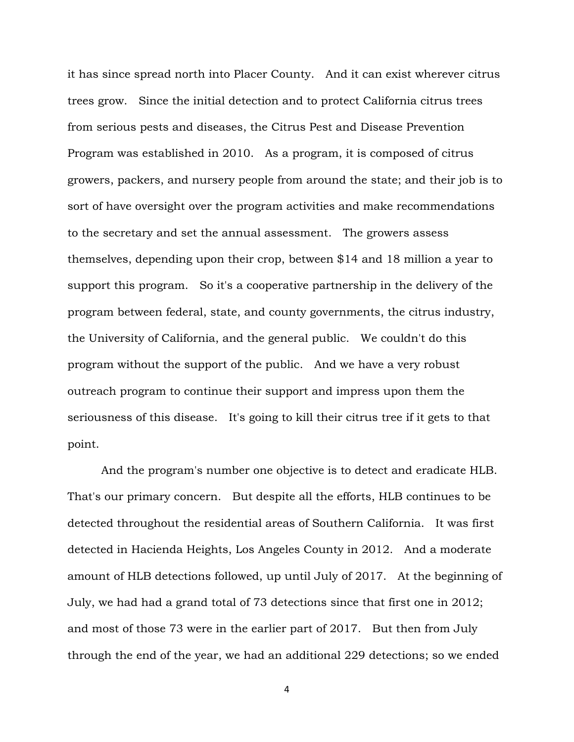it has since spread north into Placer County. And it can exist wherever citrus trees grow. Since the initial detection and to protect California citrus trees from serious pests and diseases, the Citrus Pest and Disease Prevention Program was established in 2010. As a program, it is composed of citrus growers, packers, and nursery people from around the state; and their job is to sort of have oversight over the program activities and make recommendations to the secretary and set the annual assessment. The growers assess themselves, depending upon their crop, between \$14 and 18 million a year to support this program. So it's a cooperative partnership in the delivery of the program between federal, state, and county governments, the citrus industry, the University of California, and the general public. We couldn't do this program without the support of the public. And we have a very robust outreach program to continue their support and impress upon them the seriousness of this disease. It's going to kill their citrus tree if it gets to that point.

And the program's number one objective is to detect and eradicate HLB. That's our primary concern. But despite all the efforts, HLB continues to be detected throughout the residential areas of Southern California. It was first detected in Hacienda Heights, Los Angeles County in 2012. And a moderate amount of HLB detections followed, up until July of 2017. At the beginning of July, we had had a grand total of 73 detections since that first one in 2012; and most of those 73 were in the earlier part of 2017. But then from July through the end of the year, we had an additional 229 detections; so we ended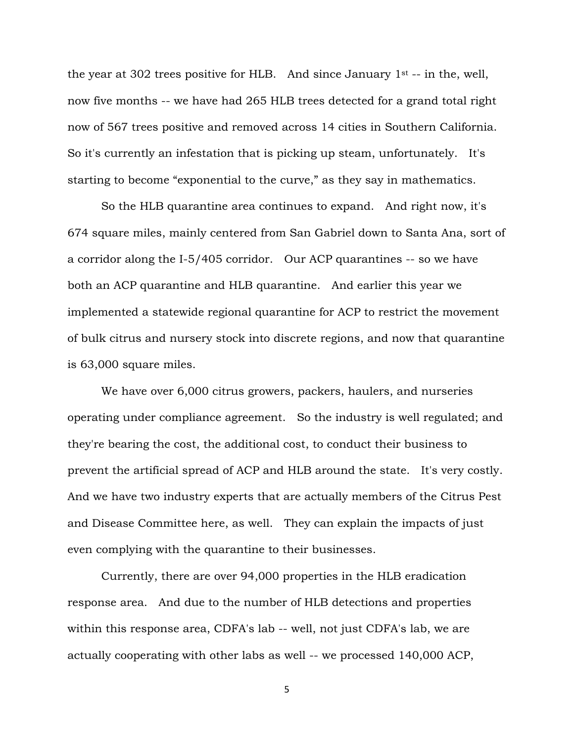the year at 302 trees positive for HLB. And since January  $1<sup>st</sup>$  -- in the, well, now five months -- we have had 265 HLB trees detected for a grand total right now of 567 trees positive and removed across 14 cities in Southern California. So it's currently an infestation that is picking up steam, unfortunately. It's starting to become "exponential to the curve," as they say in mathematics.

So the HLB quarantine area continues to expand. And right now, it's 674 square miles, mainly centered from San Gabriel down to Santa Ana, sort of a corridor along the I-5/405 corridor. Our ACP quarantines -- so we have both an ACP quarantine and HLB quarantine. And earlier this year we implemented a statewide regional quarantine for ACP to restrict the movement of bulk citrus and nursery stock into discrete regions, and now that quarantine is 63,000 square miles.

We have over 6,000 citrus growers, packers, haulers, and nurseries operating under compliance agreement. So the industry is well regulated; and they're bearing the cost, the additional cost, to conduct their business to prevent the artificial spread of ACP and HLB around the state. It's very costly. And we have two industry experts that are actually members of the Citrus Pest and Disease Committee here, as well. They can explain the impacts of just even complying with the quarantine to their businesses.

Currently, there are over 94,000 properties in the HLB eradication response area. And due to the number of HLB detections and properties within this response area, CDFA's lab -- well, not just CDFA's lab, we are actually cooperating with other labs as well -- we processed 140,000 ACP,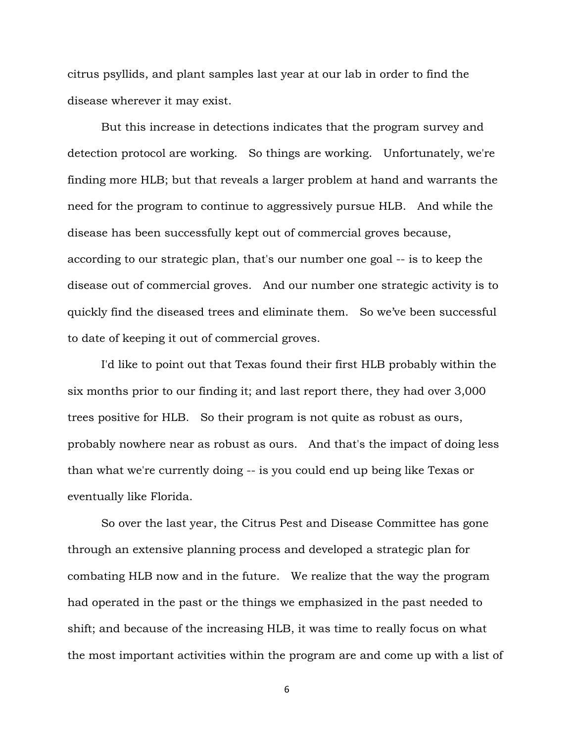citrus psyllids, and plant samples last year at our lab in order to find the disease wherever it may exist.

But this increase in detections indicates that the program survey and detection protocol are working. So things are working. Unfortunately, we're finding more HLB; but that reveals a larger problem at hand and warrants the need for the program to continue to aggressively pursue HLB. And while the disease has been successfully kept out of commercial groves because, according to our strategic plan, that's our number one goal -- is to keep the disease out of commercial groves. And our number one strategic activity is to quickly find the diseased trees and eliminate them. So we've been successful to date of keeping it out of commercial groves.

I'd like to point out that Texas found their first HLB probably within the six months prior to our finding it; and last report there, they had over 3,000 trees positive for HLB. So their program is not quite as robust as ours, probably nowhere near as robust as ours. And that's the impact of doing less than what we're currently doing -- is you could end up being like Texas or eventually like Florida.

So over the last year, the Citrus Pest and Disease Committee has gone through an extensive planning process and developed a strategic plan for combating HLB now and in the future. We realize that the way the program had operated in the past or the things we emphasized in the past needed to shift; and because of the increasing HLB, it was time to really focus on what the most important activities within the program are and come up with a list of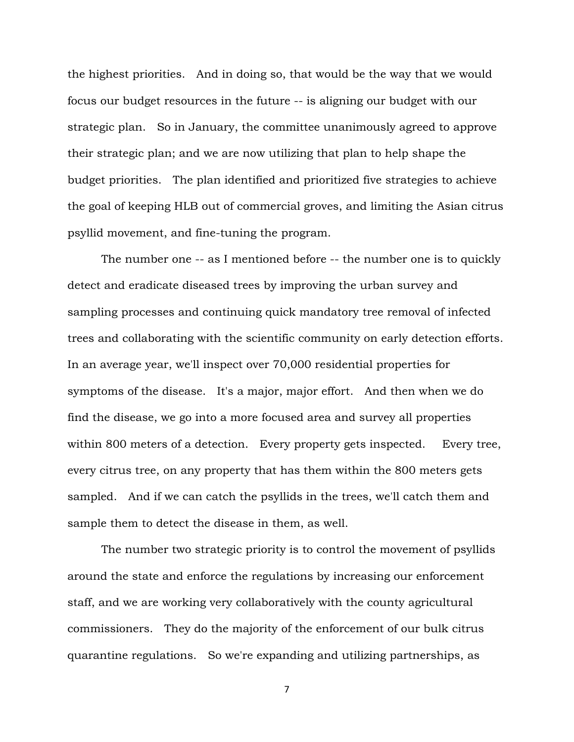the highest priorities. And in doing so, that would be the way that we would focus our budget resources in the future -- is aligning our budget with our strategic plan. So in January, the committee unanimously agreed to approve their strategic plan; and we are now utilizing that plan to help shape the budget priorities. The plan identified and prioritized five strategies to achieve the goal of keeping HLB out of commercial groves, and limiting the Asian citrus psyllid movement, and fine-tuning the program.

The number one -- as I mentioned before -- the number one is to quickly detect and eradicate diseased trees by improving the urban survey and sampling processes and continuing quick mandatory tree removal of infected trees and collaborating with the scientific community on early detection efforts. In an average year, we'll inspect over 70,000 residential properties for symptoms of the disease. It's a major, major effort. And then when we do find the disease, we go into a more focused area and survey all properties within 800 meters of a detection. Every property gets inspected. Every tree, every citrus tree, on any property that has them within the 800 meters gets sampled. And if we can catch the psyllids in the trees, we'll catch them and sample them to detect the disease in them, as well.

The number two strategic priority is to control the movement of psyllids around the state and enforce the regulations by increasing our enforcement staff, and we are working very collaboratively with the county agricultural commissioners. They do the majority of the enforcement of our bulk citrus quarantine regulations. So we're expanding and utilizing partnerships, as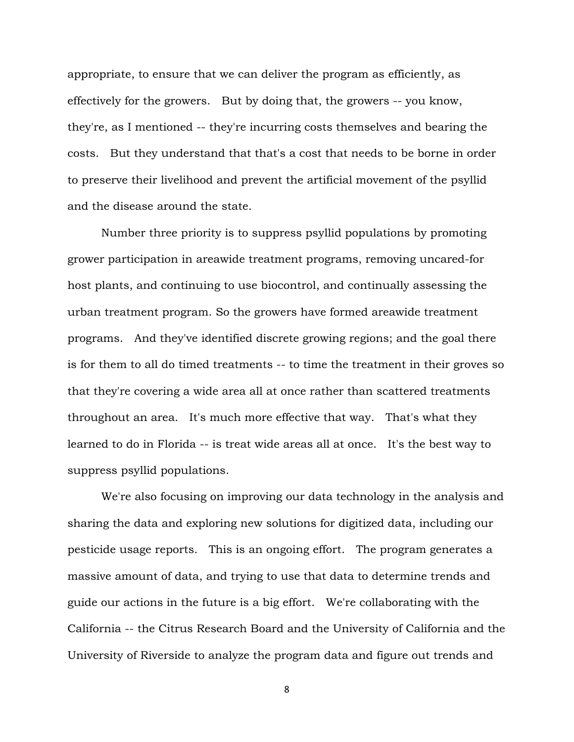appropriate, to ensure that we can deliver the program as efficiently, as effectively for the growers. But by doing that, the growers -- you know, they're, as I mentioned -- they're incurring costs themselves and bearing the costs. But they understand that that's a cost that needs to be borne in order to preserve their livelihood and prevent the artificial movement of the psyllid and the disease around the state.

Number three priority is to suppress psyllid populations by promoting grower participation in areawide treatment programs, removing uncared-for host plants, and continuing to use biocontrol, and continually assessing the urban treatment program. So the growers have formed areawide treatment programs. And they've identified discrete growing regions; and the goal there is for them to all do timed treatments -- to time the treatment in their groves so that they're covering a wide area all at once rather than scattered treatments throughout an area. It's much more effective that way. That's what they learned to do in Florida -- is treat wide areas all at once. It's the best way to suppress psyllid populations.

We're also focusing on improving our data technology in the analysis and sharing the data and exploring new solutions for digitized data, including our pesticide usage reports. This is an ongoing effort. The program generates a massive amount of data, and trying to use that data to determine trends and guide our actions in the future is a big effort. We're collaborating with the California -- the Citrus Research Board and the University of California and the University of Riverside to analyze the program data and figure out trends and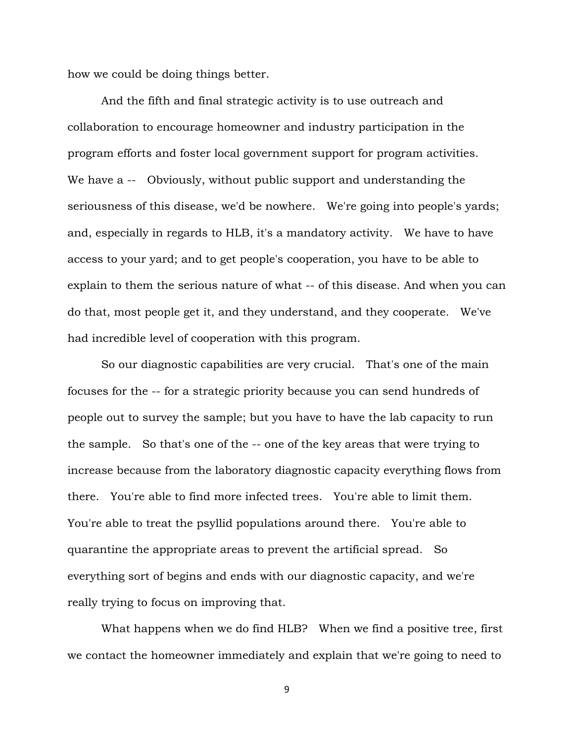how we could be doing things better.

And the fifth and final strategic activity is to use outreach and collaboration to encourage homeowner and industry participation in the program efforts and foster local government support for program activities. We have a -- Obviously, without public support and understanding the seriousness of this disease, we'd be nowhere. We're going into people's yards; and, especially in regards to HLB, it's a mandatory activity. We have to have access to your yard; and to get people's cooperation, you have to be able to explain to them the serious nature of what -- of this disease. And when you can do that, most people get it, and they understand, and they cooperate. We've had incredible level of cooperation with this program.

So our diagnostic capabilities are very crucial. That's one of the main focuses for the -- for a strategic priority because you can send hundreds of people out to survey the sample; but you have to have the lab capacity to run the sample. So that's one of the -- one of the key areas that were trying to increase because from the laboratory diagnostic capacity everything flows from there. You're able to find more infected trees. You're able to limit them. You're able to treat the psyllid populations around there. You're able to quarantine the appropriate areas to prevent the artificial spread. So everything sort of begins and ends with our diagnostic capacity, and we're really trying to focus on improving that.

What happens when we do find HLB? When we find a positive tree, first we contact the homeowner immediately and explain that we're going to need to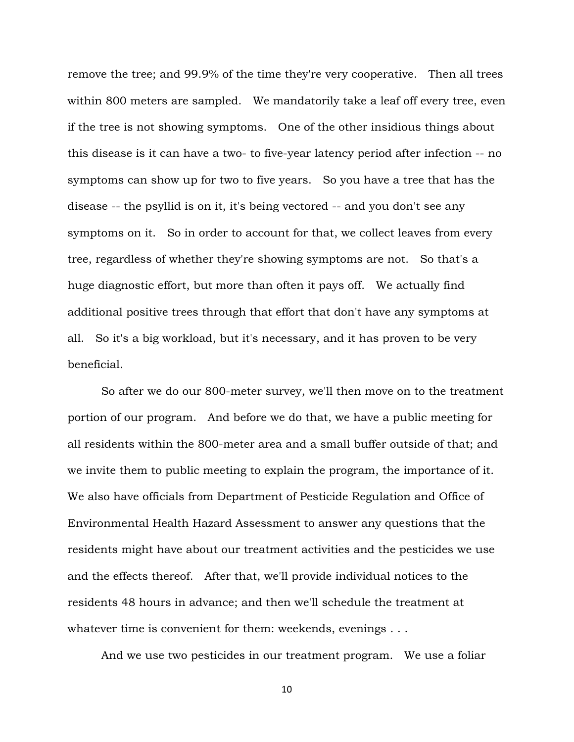remove the tree; and 99.9% of the time they're very cooperative. Then all trees within 800 meters are sampled. We mandatorily take a leaf off every tree, even if the tree is not showing symptoms. One of the other insidious things about this disease is it can have a two- to five-year latency period after infection -- no symptoms can show up for two to five years. So you have a tree that has the disease -- the psyllid is on it, it's being vectored -- and you don't see any symptoms on it. So in order to account for that, we collect leaves from every tree, regardless of whether they're showing symptoms are not. So that's a huge diagnostic effort, but more than often it pays off. We actually find additional positive trees through that effort that don't have any symptoms at all. So it's a big workload, but it's necessary, and it has proven to be very beneficial.

So after we do our 800-meter survey, we'll then move on to the treatment portion of our program. And before we do that, we have a public meeting for all residents within the 800-meter area and a small buffer outside of that; and we invite them to public meeting to explain the program, the importance of it. We also have officials from Department of Pesticide Regulation and Office of Environmental Health Hazard Assessment to answer any questions that the residents might have about our treatment activities and the pesticides we use and the effects thereof. After that, we'll provide individual notices to the residents 48 hours in advance; and then we'll schedule the treatment at whatever time is convenient for them: weekends, evenings . . .

And we use two pesticides in our treatment program. We use a foliar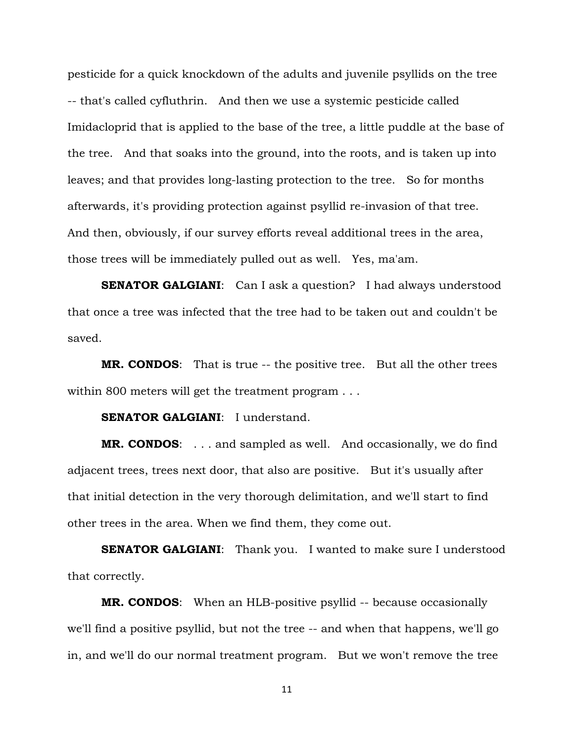pesticide for a quick knockdown of the adults and juvenile psyllids on the tree -- that's called cyfluthrin. And then we use a systemic pesticide called Imidacloprid that is applied to the base of the tree, a little puddle at the base of the tree. And that soaks into the ground, into the roots, and is taken up into leaves; and that provides long-lasting protection to the tree. So for months afterwards, it's providing protection against psyllid re-invasion of that tree. And then, obviously, if our survey efforts reveal additional trees in the area, those trees will be immediately pulled out as well. Yes, ma'am.

**SENATOR GALGIANI:** Can I ask a question? I had always understood that once a tree was infected that the tree had to be taken out and couldn't be saved.

**MR. CONDOS**: That is true -- the positive tree. But all the other trees within 800 meters will get the treatment program . . .

**SENATOR GALGIANI:** I understand.

**MR. CONDOS**: . . . and sampled as well. And occasionally, we do find adjacent trees, trees next door, that also are positive. But it's usually after that initial detection in the very thorough delimitation, and we'll start to find other trees in the area. When we find them, they come out.

**SENATOR GALGIANI:** Thank you. I wanted to make sure I understood that correctly.

**MR. CONDOS**: When an HLB-positive psyllid -- because occasionally we'll find a positive psyllid, but not the tree -- and when that happens, we'll go in, and we'll do our normal treatment program. But we won't remove the tree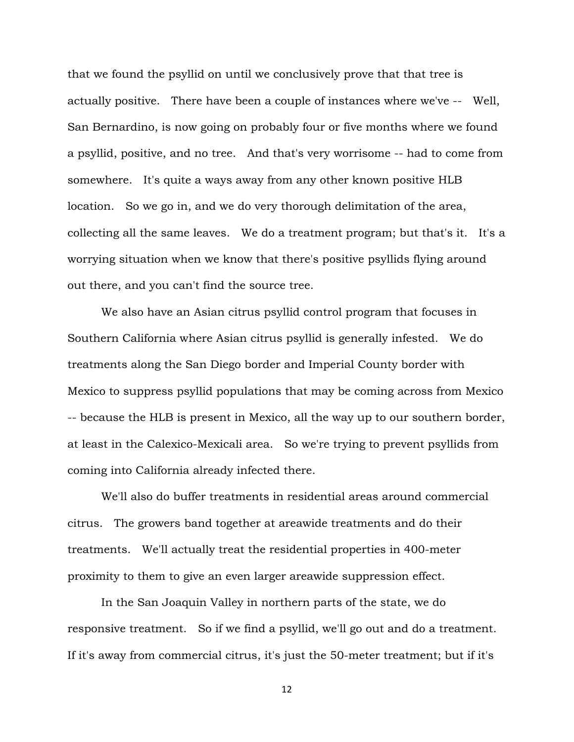that we found the psyllid on until we conclusively prove that that tree is actually positive. There have been a couple of instances where we've -- Well, San Bernardino, is now going on probably four or five months where we found a psyllid, positive, and no tree. And that's very worrisome -- had to come from somewhere. It's quite a ways away from any other known positive HLB location. So we go in, and we do very thorough delimitation of the area, collecting all the same leaves. We do a treatment program; but that's it. It's a worrying situation when we know that there's positive psyllids flying around out there, and you can't find the source tree.

We also have an Asian citrus psyllid control program that focuses in Southern California where Asian citrus psyllid is generally infested. We do treatments along the San Diego border and Imperial County border with Mexico to suppress psyllid populations that may be coming across from Mexico -- because the HLB is present in Mexico, all the way up to our southern border, at least in the Calexico-Mexicali area. So we're trying to prevent psyllids from coming into California already infected there.

We'll also do buffer treatments in residential areas around commercial citrus. The growers band together at areawide treatments and do their treatments. We'll actually treat the residential properties in 400-meter proximity to them to give an even larger areawide suppression effect.

In the San Joaquin Valley in northern parts of the state, we do responsive treatment. So if we find a psyllid, we'll go out and do a treatment. If it's away from commercial citrus, it's just the 50-meter treatment; but if it's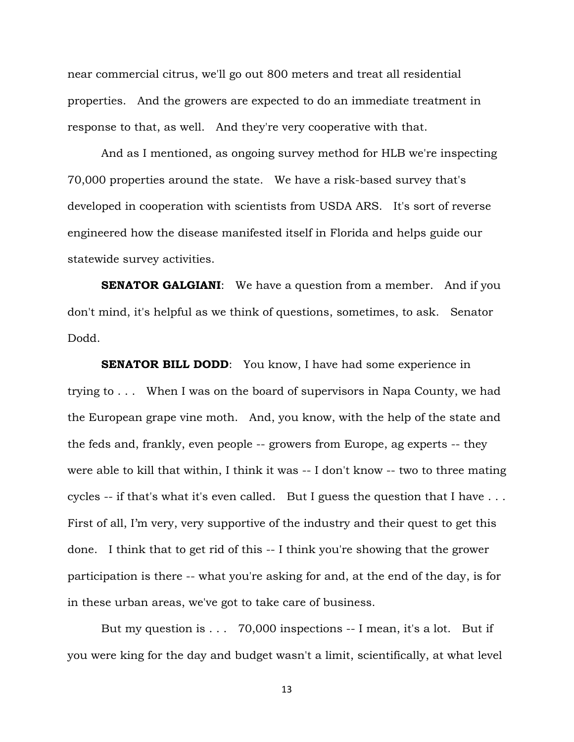near commercial citrus, we'll go out 800 meters and treat all residential properties. And the growers are expected to do an immediate treatment in response to that, as well. And they're very cooperative with that.

And as I mentioned, as ongoing survey method for HLB we're inspecting 70,000 properties around the state. We have a risk-based survey that's developed in cooperation with scientists from USDA ARS. It's sort of reverse engineered how the disease manifested itself in Florida and helps guide our statewide survey activities.

**SENATOR GALGIANI:** We have a question from a member. And if you don't mind, it's helpful as we think of questions, sometimes, to ask. Senator Dodd.

**SENATOR BILL DODD:** You know, I have had some experience in trying to . . . When I was on the board of supervisors in Napa County, we had the European grape vine moth. And, you know, with the help of the state and the feds and, frankly, even people -- growers from Europe, ag experts -- they were able to kill that within, I think it was -- I don't know -- two to three mating cycles -- if that's what it's even called. But I guess the question that I have . . . First of all, I'm very, very supportive of the industry and their quest to get this done. I think that to get rid of this -- I think you're showing that the grower participation is there -- what you're asking for and, at the end of the day, is for in these urban areas, we've got to take care of business.

But my question is . . . 70,000 inspections -- I mean, it's a lot. But if you were king for the day and budget wasn't a limit, scientifically, at what level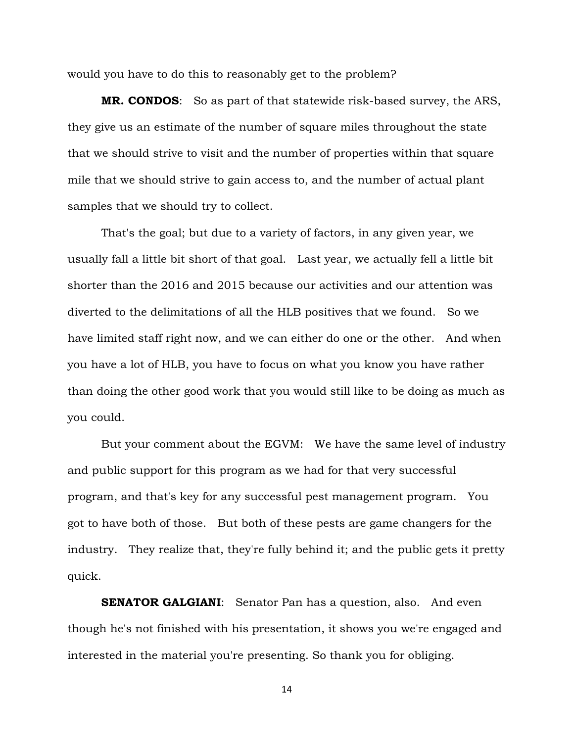would you have to do this to reasonably get to the problem?

**MR. CONDOS**: So as part of that statewide risk-based survey, the ARS, they give us an estimate of the number of square miles throughout the state that we should strive to visit and the number of properties within that square mile that we should strive to gain access to, and the number of actual plant samples that we should try to collect.

That's the goal; but due to a variety of factors, in any given year, we usually fall a little bit short of that goal. Last year, we actually fell a little bit shorter than the 2016 and 2015 because our activities and our attention was diverted to the delimitations of all the HLB positives that we found. So we have limited staff right now, and we can either do one or the other. And when you have a lot of HLB, you have to focus on what you know you have rather than doing the other good work that you would still like to be doing as much as you could.

But your comment about the EGVM: We have the same level of industry and public support for this program as we had for that very successful program, and that's key for any successful pest management program. You got to have both of those. But both of these pests are game changers for the industry. They realize that, they're fully behind it; and the public gets it pretty quick.

**SENATOR GALGIANI:** Senator Pan has a question, also. And even though he's not finished with his presentation, it shows you we're engaged and interested in the material you're presenting. So thank you for obliging.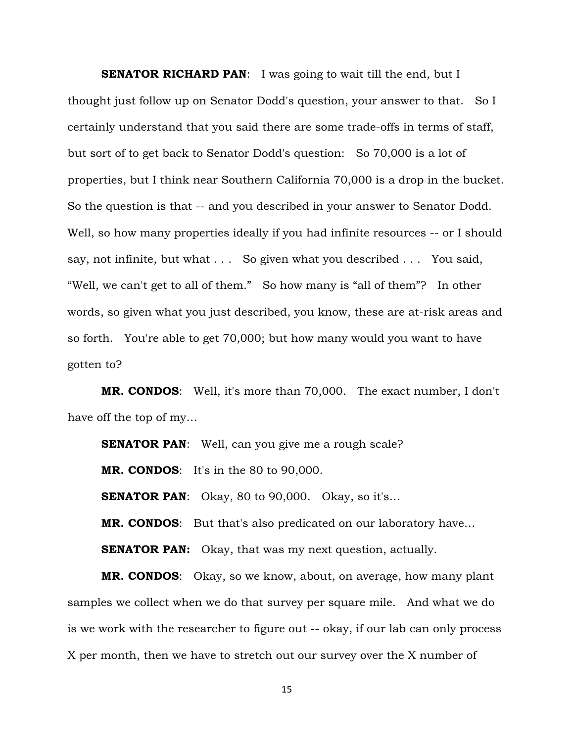**SENATOR RICHARD PAN:** I was going to wait till the end, but I thought just follow up on Senator Dodd's question, your answer to that. So I certainly understand that you said there are some trade-offs in terms of staff, but sort of to get back to Senator Dodd's question: So 70,000 is a lot of properties, but I think near Southern California 70,000 is a drop in the bucket. So the question is that -- and you described in your answer to Senator Dodd. Well, so how many properties ideally if you had infinite resources -- or I should say, not infinite, but what . . . So given what you described . . . You said, "Well, we can't get to all of them." So how many is "all of them"? In other words, so given what you just described, you know, these are at-risk areas and so forth. You're able to get 70,000; but how many would you want to have gotten to?

**MR. CONDOS**: Well, it's more than 70,000. The exact number, I don't have off the top of my…

**SENATOR PAN:** Well, can you give me a rough scale? **MR. CONDOS**: It's in the 80 to 90,000. **SENATOR PAN:** Okay, 80 to 90,000. Okay, so it's... **MR. CONDOS**: But that's also predicated on our laboratory have… **SENATOR PAN:** Okay, that was my next question, actually.

**MR. CONDOS**: Okay, so we know, about, on average, how many plant samples we collect when we do that survey per square mile. And what we do is we work with the researcher to figure out -- okay, if our lab can only process X per month, then we have to stretch out our survey over the X number of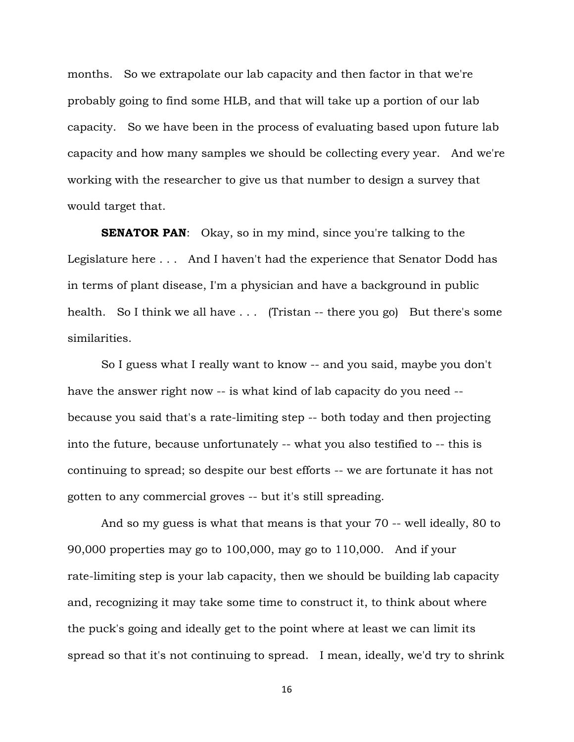months. So we extrapolate our lab capacity and then factor in that we're probably going to find some HLB, and that will take up a portion of our lab capacity. So we have been in the process of evaluating based upon future lab capacity and how many samples we should be collecting every year. And we're working with the researcher to give us that number to design a survey that would target that.

**SENATOR PAN:** Okay, so in my mind, since you're talking to the Legislature here . . . And I haven't had the experience that Senator Dodd has in terms of plant disease, I'm a physician and have a background in public health. So I think we all have . . . (Tristan -- there you go) But there's some similarities.

So I guess what I really want to know -- and you said, maybe you don't have the answer right now -- is what kind of lab capacity do you need - because you said that's a rate-limiting step -- both today and then projecting into the future, because unfortunately -- what you also testified to -- this is continuing to spread; so despite our best efforts -- we are fortunate it has not gotten to any commercial groves -- but it's still spreading.

And so my guess is what that means is that your 70 -- well ideally, 80 to 90,000 properties may go to 100,000, may go to 110,000. And if your rate-limiting step is your lab capacity, then we should be building lab capacity and, recognizing it may take some time to construct it, to think about where the puck's going and ideally get to the point where at least we can limit its spread so that it's not continuing to spread. I mean, ideally, we'd try to shrink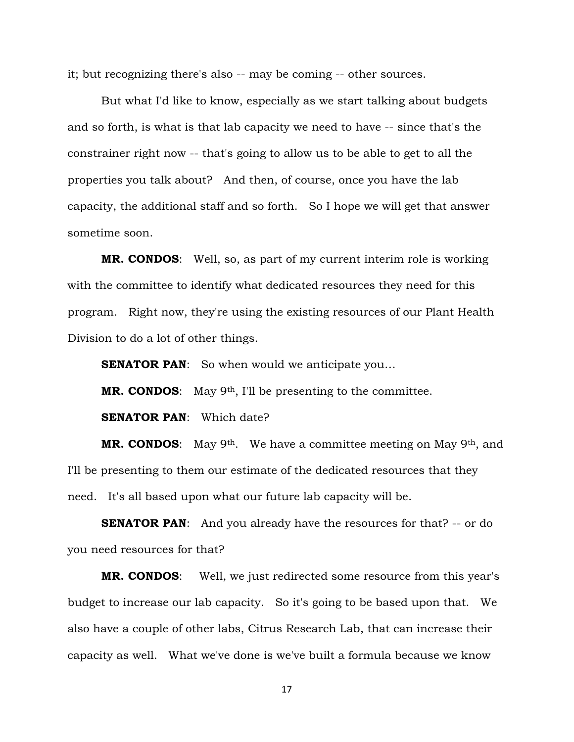it; but recognizing there's also -- may be coming -- other sources.

But what I'd like to know, especially as we start talking about budgets and so forth, is what is that lab capacity we need to have -- since that's the constrainer right now -- that's going to allow us to be able to get to all the properties you talk about? And then, of course, once you have the lab capacity, the additional staff and so forth. So I hope we will get that answer sometime soon.

**MR. CONDOS**: Well, so, as part of my current interim role is working with the committee to identify what dedicated resources they need for this program. Right now, they're using the existing resources of our Plant Health Division to do a lot of other things.

**SENATOR PAN:** So when would we anticipate you...

**MR. CONDOS:** May 9<sup>th</sup>, I'll be presenting to the committee.

**SENATOR PAN**: Which date?

**MR. CONDOS:** May 9<sup>th</sup>. We have a committee meeting on May 9<sup>th</sup>, and I'll be presenting to them our estimate of the dedicated resources that they need. It's all based upon what our future lab capacity will be.

**SENATOR PAN:** And you already have the resources for that? -- or do you need resources for that?

**MR. CONDOS**: Well, we just redirected some resource from this year's budget to increase our lab capacity. So it's going to be based upon that. We also have a couple of other labs, Citrus Research Lab, that can increase their capacity as well. What we've done is we've built a formula because we know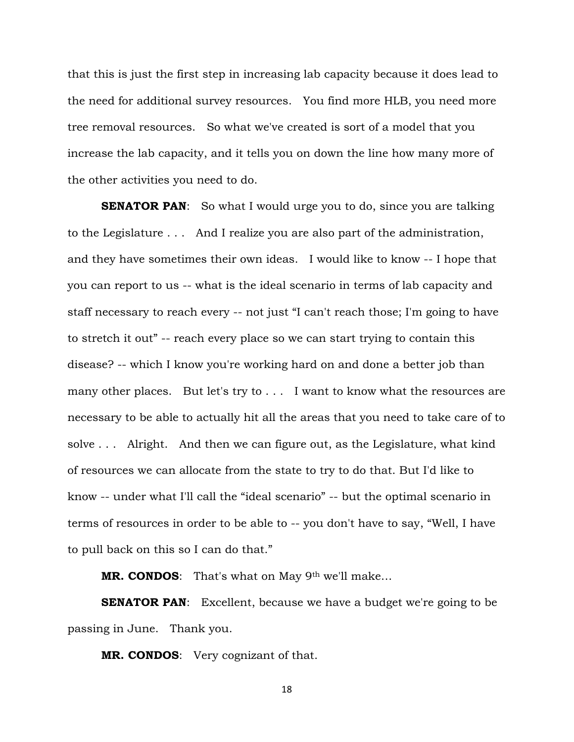that this is just the first step in increasing lab capacity because it does lead to the need for additional survey resources. You find more HLB, you need more tree removal resources. So what we've created is sort of a model that you increase the lab capacity, and it tells you on down the line how many more of the other activities you need to do.

**SENATOR PAN:** So what I would urge you to do, since you are talking to the Legislature . . . And I realize you are also part of the administration, and they have sometimes their own ideas. I would like to know -- I hope that you can report to us -- what is the ideal scenario in terms of lab capacity and staff necessary to reach every -- not just "I can't reach those; I'm going to have to stretch it out" -- reach every place so we can start trying to contain this disease? -- which I know you're working hard on and done a better job than many other places. But let's try to . . . I want to know what the resources are necessary to be able to actually hit all the areas that you need to take care of to solve . . . Alright. And then we can figure out, as the Legislature, what kind of resources we can allocate from the state to try to do that. But I'd like to know -- under what I'll call the "ideal scenario" -- but the optimal scenario in terms of resources in order to be able to -- you don't have to say, "Well, I have to pull back on this so I can do that."

**MR. CONDOS**: That's what on May 9th we'll make…

**SENATOR PAN:** Excellent, because we have a budget we're going to be passing in June. Thank you.

**MR. CONDOS**: Very cognizant of that.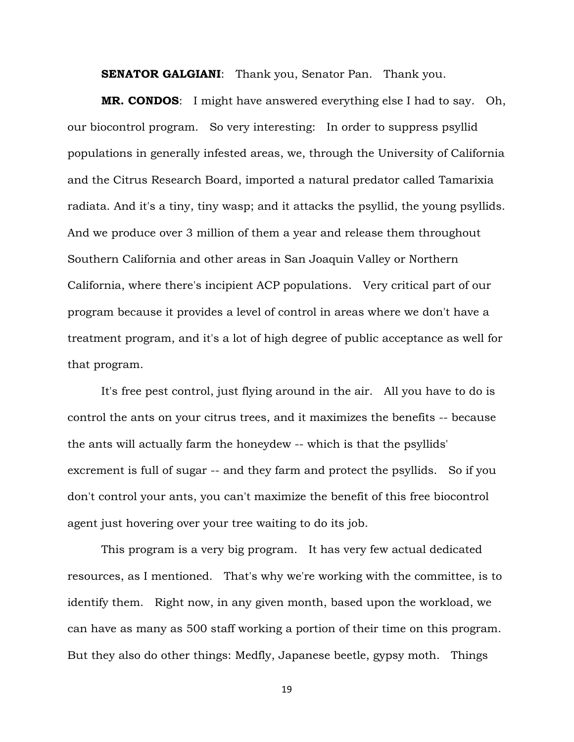**SENATOR GALGIANI:** Thank you, Senator Pan. Thank you.

**MR. CONDOS**: I might have answered everything else I had to say. Oh, our biocontrol program. So very interesting: In order to suppress psyllid populations in generally infested areas, we, through the University of California and the Citrus Research Board, imported a natural predator called Tamarixia radiata. And it's a tiny, tiny wasp; and it attacks the psyllid, the young psyllids. And we produce over 3 million of them a year and release them throughout Southern California and other areas in San Joaquin Valley or Northern California, where there's incipient ACP populations. Very critical part of our program because it provides a level of control in areas where we don't have a treatment program, and it's a lot of high degree of public acceptance as well for that program.

It's free pest control, just flying around in the air. All you have to do is control the ants on your citrus trees, and it maximizes the benefits -- because the ants will actually farm the honeydew -- which is that the psyllids' excrement is full of sugar -- and they farm and protect the psyllids. So if you don't control your ants, you can't maximize the benefit of this free biocontrol agent just hovering over your tree waiting to do its job.

This program is a very big program. It has very few actual dedicated resources, as I mentioned. That's why we're working with the committee, is to identify them. Right now, in any given month, based upon the workload, we can have as many as 500 staff working a portion of their time on this program. But they also do other things: Medfly, Japanese beetle, gypsy moth. Things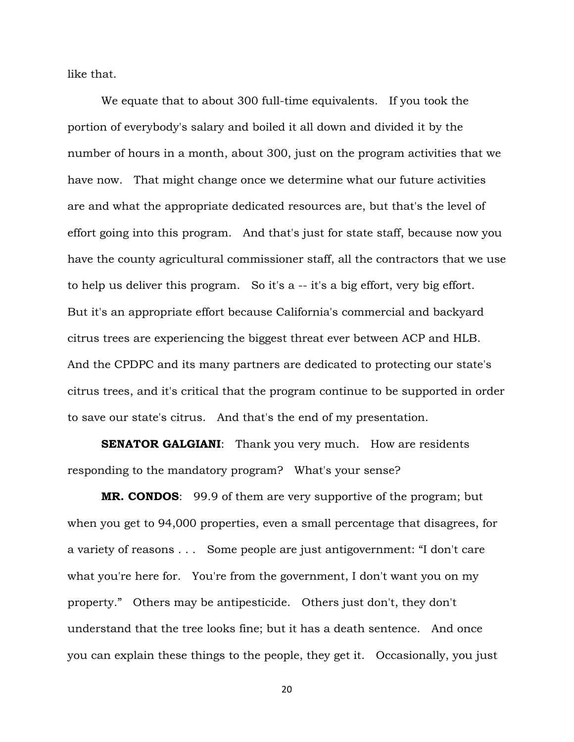like that.

We equate that to about 300 full-time equivalents. If you took the portion of everybody's salary and boiled it all down and divided it by the number of hours in a month, about 300, just on the program activities that we have now. That might change once we determine what our future activities are and what the appropriate dedicated resources are, but that's the level of effort going into this program. And that's just for state staff, because now you have the county agricultural commissioner staff, all the contractors that we use to help us deliver this program. So it's a -- it's a big effort, very big effort. But it's an appropriate effort because California's commercial and backyard citrus trees are experiencing the biggest threat ever between ACP and HLB. And the CPDPC and its many partners are dedicated to protecting our state's citrus trees, and it's critical that the program continue to be supported in order to save our state's citrus. And that's the end of my presentation.

**SENATOR GALGIANI:** Thank you very much. How are residents responding to the mandatory program? What's your sense?

**MR. CONDOS**: 99.9 of them are very supportive of the program; but when you get to 94,000 properties, even a small percentage that disagrees, for a variety of reasons . . . Some people are just antigovernment: "I don't care what you're here for. You're from the government, I don't want you on my property." Others may be antipesticide. Others just don't, they don't understand that the tree looks fine; but it has a death sentence. And once you can explain these things to the people, they get it. Occasionally, you just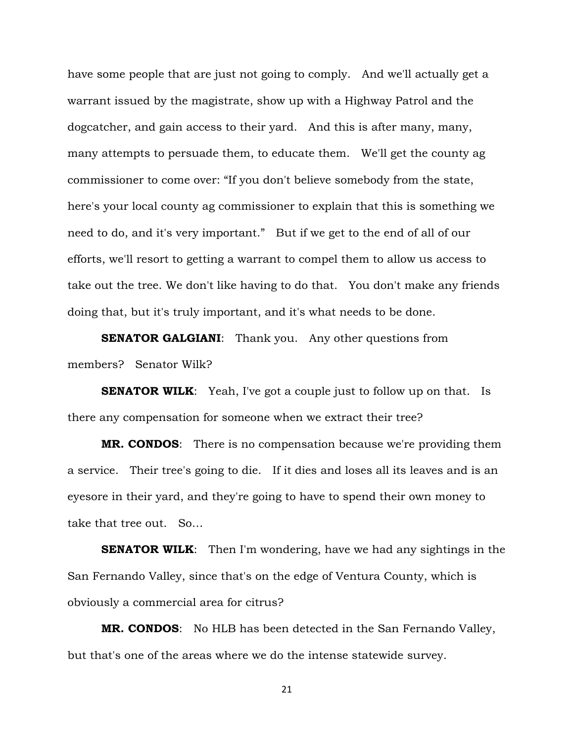have some people that are just not going to comply. And we'll actually get a warrant issued by the magistrate, show up with a Highway Patrol and the dogcatcher, and gain access to their yard. And this is after many, many, many attempts to persuade them, to educate them. We'll get the county ag commissioner to come over: "If you don't believe somebody from the state, here's your local county ag commissioner to explain that this is something we need to do, and it's very important." But if we get to the end of all of our efforts, we'll resort to getting a warrant to compel them to allow us access to take out the tree. We don't like having to do that. You don't make any friends doing that, but it's truly important, and it's what needs to be done.

**SENATOR GALGIANI:** Thank you. Any other questions from members? Senator Wilk?

**SENATOR WILK:** Yeah, I've got a couple just to follow up on that. Is there any compensation for someone when we extract their tree?

**MR. CONDOS**: There is no compensation because we're providing them a service. Their tree's going to die. If it dies and loses all its leaves and is an eyesore in their yard, and they're going to have to spend their own money to take that tree out. So…

**SENATOR WILK:** Then I'm wondering, have we had any sightings in the San Fernando Valley, since that's on the edge of Ventura County, which is obviously a commercial area for citrus?

**MR. CONDOS**: No HLB has been detected in the San Fernando Valley, but that's one of the areas where we do the intense statewide survey.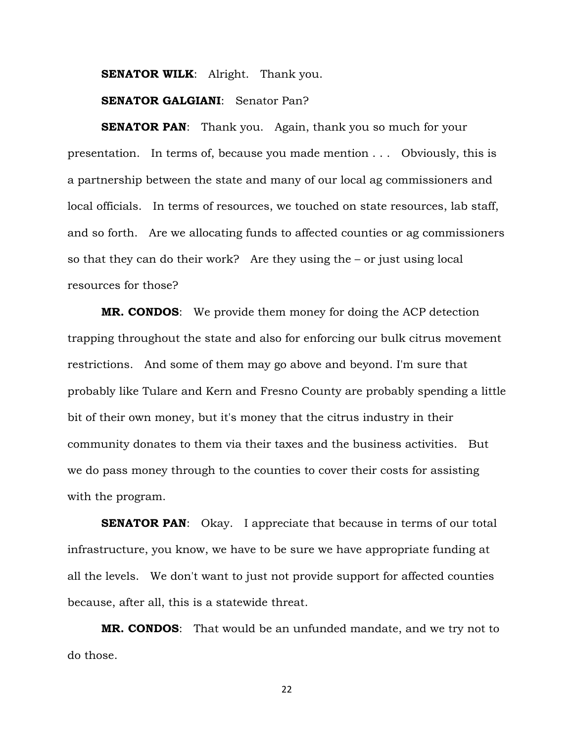**SENATOR WILK:** Alright. Thank you.

#### **SENATOR GALGIANI**: Senator Pan?

**SENATOR PAN:** Thank you. Again, thank you so much for your presentation. In terms of, because you made mention . . . Obviously, this is a partnership between the state and many of our local ag commissioners and local officials. In terms of resources, we touched on state resources, lab staff, and so forth. Are we allocating funds to affected counties or ag commissioners so that they can do their work? Are they using the – or just using local resources for those?

**MR. CONDOS**: We provide them money for doing the ACP detection trapping throughout the state and also for enforcing our bulk citrus movement restrictions. And some of them may go above and beyond. I'm sure that probably like Tulare and Kern and Fresno County are probably spending a little bit of their own money, but it's money that the citrus industry in their community donates to them via their taxes and the business activities. But we do pass money through to the counties to cover their costs for assisting with the program.

**SENATOR PAN:** Okay. I appreciate that because in terms of our total infrastructure, you know, we have to be sure we have appropriate funding at all the levels. We don't want to just not provide support for affected counties because, after all, this is a statewide threat.

**MR. CONDOS**: That would be an unfunded mandate, and we try not to do those.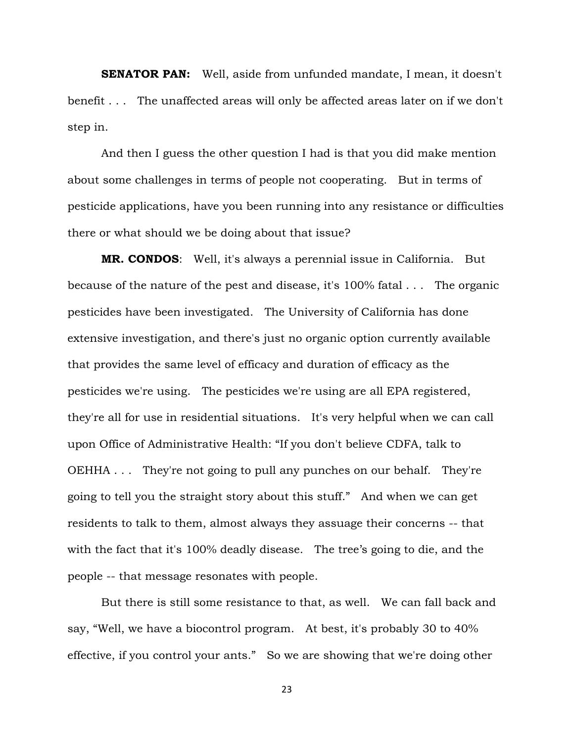**SENATOR PAN:** Well, aside from unfunded mandate, I mean, it doesn't benefit . . . The unaffected areas will only be affected areas later on if we don't step in.

And then I guess the other question I had is that you did make mention about some challenges in terms of people not cooperating. But in terms of pesticide applications, have you been running into any resistance or difficulties there or what should we be doing about that issue?

**MR. CONDOS**: Well, it's always a perennial issue in California. But because of the nature of the pest and disease, it's 100% fatal . . . The organic pesticides have been investigated. The University of California has done extensive investigation, and there's just no organic option currently available that provides the same level of efficacy and duration of efficacy as the pesticides we're using. The pesticides we're using are all EPA registered, they're all for use in residential situations. It's very helpful when we can call upon Office of Administrative Health: "If you don't believe CDFA, talk to OEHHA . . . They're not going to pull any punches on our behalf. They're going to tell you the straight story about this stuff." And when we can get residents to talk to them, almost always they assuage their concerns -- that with the fact that it's 100% deadly disease. The tree's going to die, and the people -- that message resonates with people.

But there is still some resistance to that, as well. We can fall back and say, "Well, we have a biocontrol program. At best, it's probably 30 to 40% effective, if you control your ants." So we are showing that we're doing other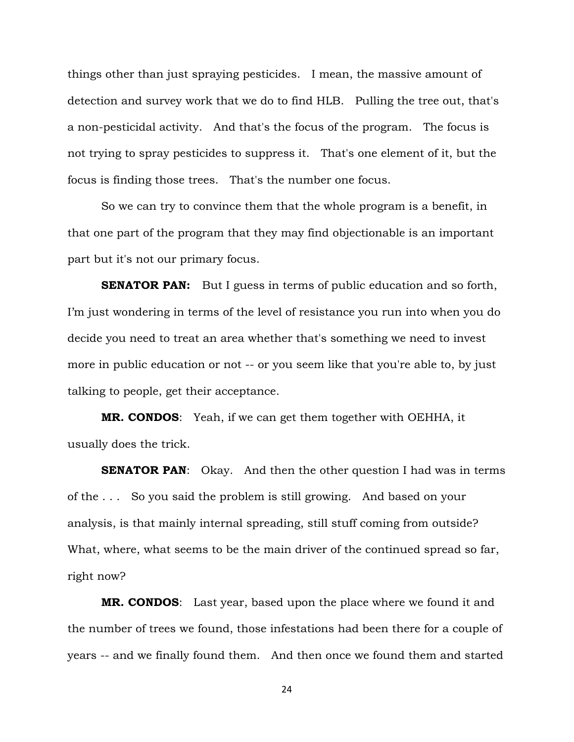things other than just spraying pesticides. I mean, the massive amount of detection and survey work that we do to find HLB. Pulling the tree out, that's a non-pesticidal activity. And that's the focus of the program. The focus is not trying to spray pesticides to suppress it. That's one element of it, but the focus is finding those trees. That's the number one focus.

So we can try to convince them that the whole program is a benefit, in that one part of the program that they may find objectionable is an important part but it's not our primary focus.

**SENATOR PAN:** But I guess in terms of public education and so forth, I'm just wondering in terms of the level of resistance you run into when you do decide you need to treat an area whether that's something we need to invest more in public education or not -- or you seem like that you're able to, by just talking to people, get their acceptance.

**MR. CONDOS**: Yeah, if we can get them together with OEHHA, it usually does the trick.

**SENATOR PAN:** Okay. And then the other question I had was in terms of the . . . So you said the problem is still growing. And based on your analysis, is that mainly internal spreading, still stuff coming from outside? What, where, what seems to be the main driver of the continued spread so far, right now?

**MR. CONDOS**: Last year, based upon the place where we found it and the number of trees we found, those infestations had been there for a couple of years -- and we finally found them. And then once we found them and started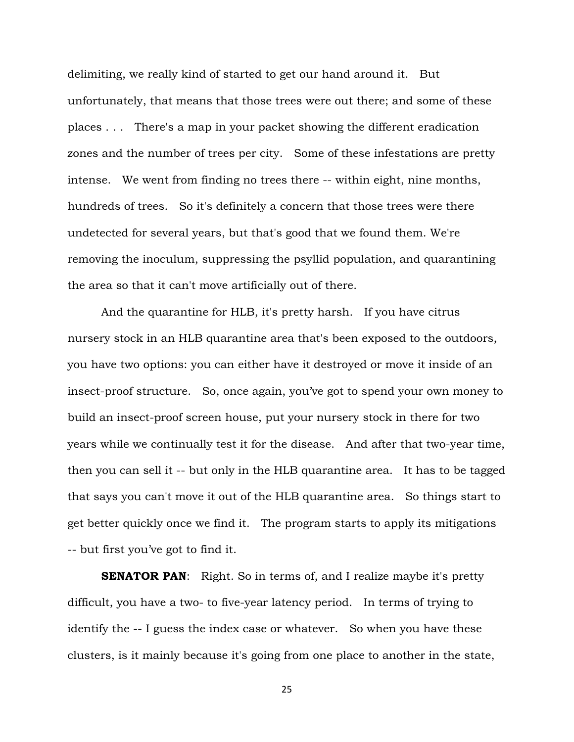delimiting, we really kind of started to get our hand around it. But unfortunately, that means that those trees were out there; and some of these places . . . There's a map in your packet showing the different eradication zones and the number of trees per city. Some of these infestations are pretty intense. We went from finding no trees there -- within eight, nine months, hundreds of trees. So it's definitely a concern that those trees were there undetected for several years, but that's good that we found them. We're removing the inoculum, suppressing the psyllid population, and quarantining the area so that it can't move artificially out of there.

And the quarantine for HLB, it's pretty harsh. If you have citrus nursery stock in an HLB quarantine area that's been exposed to the outdoors, you have two options: you can either have it destroyed or move it inside of an insect-proof structure. So, once again, you've got to spend your own money to build an insect-proof screen house, put your nursery stock in there for two years while we continually test it for the disease. And after that two-year time, then you can sell it -- but only in the HLB quarantine area. It has to be tagged that says you can't move it out of the HLB quarantine area. So things start to get better quickly once we find it. The program starts to apply its mitigations -- but first you've got to find it.

**SENATOR PAN:** Right. So in terms of, and I realize maybe it's pretty difficult, you have a two- to five-year latency period. In terms of trying to identify the -- I guess the index case or whatever. So when you have these clusters, is it mainly because it's going from one place to another in the state,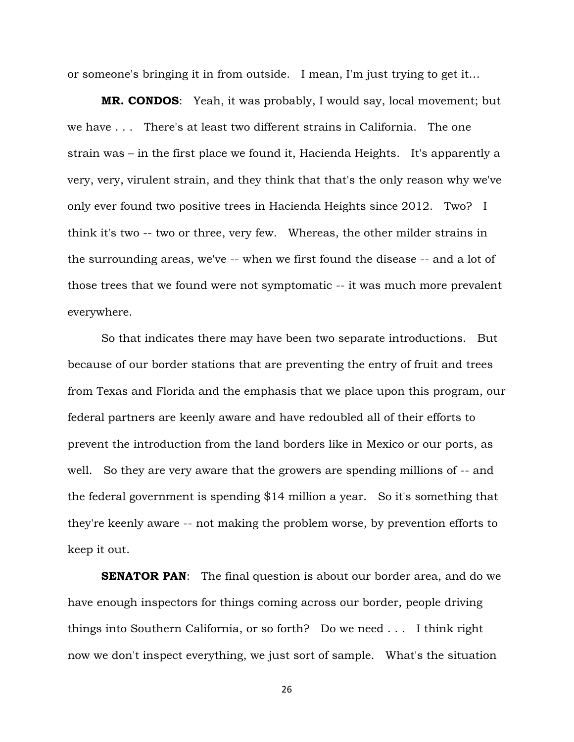or someone's bringing it in from outside. I mean, I'm just trying to get it…

**MR. CONDOS**: Yeah, it was probably, I would say, local movement; but we have . . . There's at least two different strains in California. The one strain was – in the first place we found it, Hacienda Heights. It's apparently a very, very, virulent strain, and they think that that's the only reason why we've only ever found two positive trees in Hacienda Heights since 2012. Two? I think it's two -- two or three, very few. Whereas, the other milder strains in the surrounding areas, we've -- when we first found the disease -- and a lot of those trees that we found were not symptomatic -- it was much more prevalent everywhere.

So that indicates there may have been two separate introductions. But because of our border stations that are preventing the entry of fruit and trees from Texas and Florida and the emphasis that we place upon this program, our federal partners are keenly aware and have redoubled all of their efforts to prevent the introduction from the land borders like in Mexico or our ports, as well. So they are very aware that the growers are spending millions of -- and the federal government is spending \$14 million a year. So it's something that they're keenly aware -- not making the problem worse, by prevention efforts to keep it out.

**SENATOR PAN:** The final question is about our border area, and do we have enough inspectors for things coming across our border, people driving things into Southern California, or so forth? Do we need . . . I think right now we don't inspect everything, we just sort of sample. What's the situation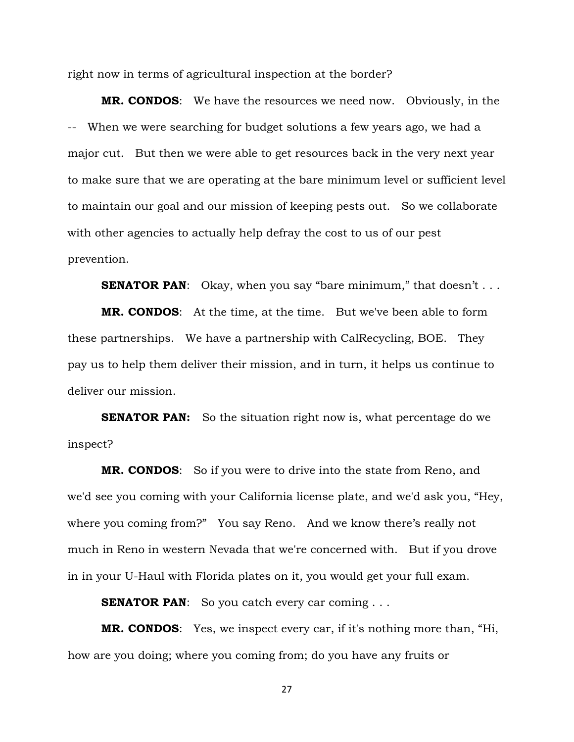right now in terms of agricultural inspection at the border?

**MR. CONDOS**: We have the resources we need now. Obviously, in the -- When we were searching for budget solutions a few years ago, we had a major cut. But then we were able to get resources back in the very next year to make sure that we are operating at the bare minimum level or sufficient level to maintain our goal and our mission of keeping pests out. So we collaborate with other agencies to actually help defray the cost to us of our pest prevention.

**SENATOR PAN:** Okay, when you say "bare minimum," that doesn't . . .

**MR. CONDOS**: At the time, at the time. But we've been able to form these partnerships. We have a partnership with CalRecycling, BOE. They pay us to help them deliver their mission, and in turn, it helps us continue to deliver our mission.

**SENATOR PAN:** So the situation right now is, what percentage do we inspect?

**MR. CONDOS**: So if you were to drive into the state from Reno, and we'd see you coming with your California license plate, and we'd ask you, "Hey, where you coming from?" You say Reno. And we know there's really not much in Reno in western Nevada that we're concerned with. But if you drove in in your U-Haul with Florida plates on it, you would get your full exam.

**SENATOR PAN:** So you catch every car coming . . .

**MR. CONDOS**: Yes, we inspect every car, if it's nothing more than, "Hi, how are you doing; where you coming from; do you have any fruits or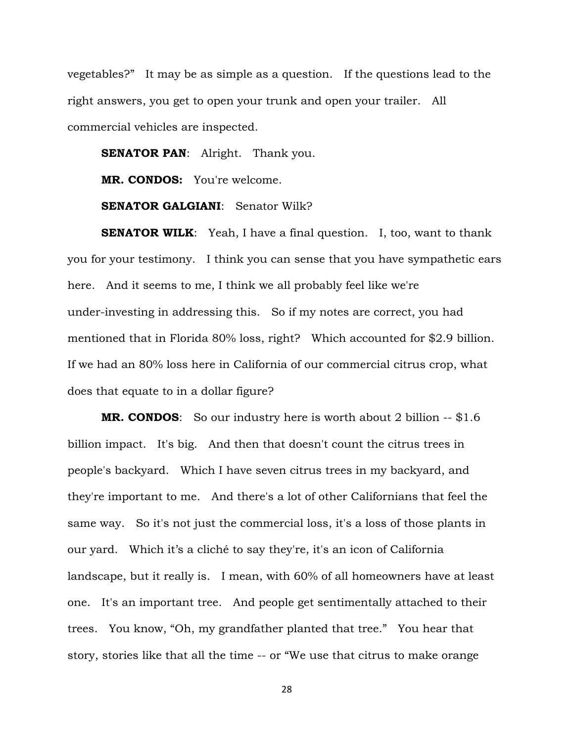vegetables?" It may be as simple as a question. If the questions lead to the right answers, you get to open your trunk and open your trailer. All commercial vehicles are inspected.

**SENATOR PAN:** Alright. Thank you.

**MR. CONDOS:** You're welcome.

**SENATOR GALGIANI**: Senator Wilk?

**SENATOR WILK:** Yeah, I have a final question. I, too, want to thank you for your testimony. I think you can sense that you have sympathetic ears here. And it seems to me, I think we all probably feel like we're under-investing in addressing this. So if my notes are correct, you had mentioned that in Florida 80% loss, right? Which accounted for \$2.9 billion. If we had an 80% loss here in California of our commercial citrus crop, what does that equate to in a dollar figure?

**MR. CONDOS:** So our industry here is worth about 2 billion -- \$1.6 billion impact. It's big. And then that doesn't count the citrus trees in people's backyard. Which I have seven citrus trees in my backyard, and they're important to me. And there's a lot of other Californians that feel the same way. So it's not just the commercial loss, it's a loss of those plants in our yard. Which it's a cliché to say they're, it's an icon of California landscape, but it really is. I mean, with 60% of all homeowners have at least one. It's an important tree. And people get sentimentally attached to their trees. You know, "Oh, my grandfather planted that tree." You hear that story, stories like that all the time -- or "We use that citrus to make orange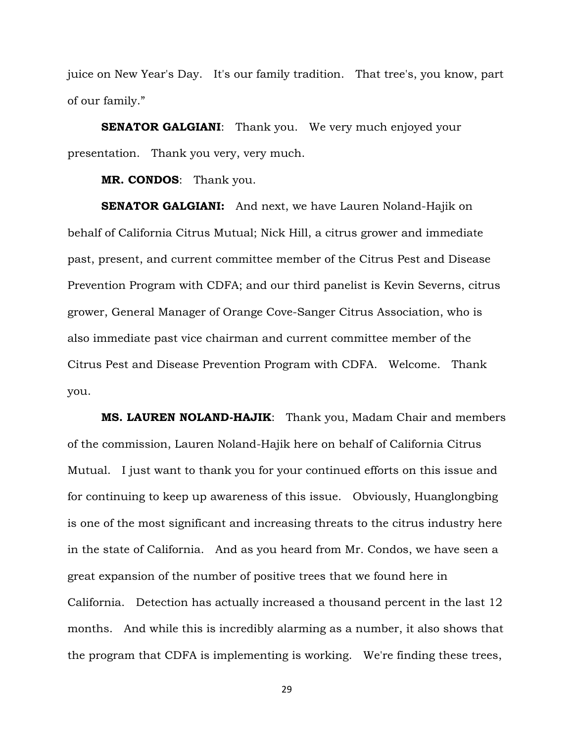juice on New Year's Day. It's our family tradition. That tree's, you know, part of our family."

**SENATOR GALGIANI:** Thank you. We very much enjoyed your presentation. Thank you very, very much.

**MR. CONDOS**: Thank you.

**SENATOR GALGIANI:** And next, we have Lauren Noland-Hajik on behalf of California Citrus Mutual; Nick Hill, a citrus grower and immediate past, present, and current committee member of the Citrus Pest and Disease Prevention Program with CDFA; and our third panelist is Kevin Severns, citrus grower, General Manager of Orange Cove-Sanger Citrus Association, who is also immediate past vice chairman and current committee member of the Citrus Pest and Disease Prevention Program with CDFA. Welcome. Thank you.

**MS. LAUREN NOLAND-HAJIK**: Thank you, Madam Chair and members of the commission, Lauren Noland-Hajik here on behalf of California Citrus Mutual. I just want to thank you for your continued efforts on this issue and for continuing to keep up awareness of this issue. Obviously, Huanglongbing is one of the most significant and increasing threats to the citrus industry here in the state of California. And as you heard from Mr. Condos, we have seen a great expansion of the number of positive trees that we found here in California. Detection has actually increased a thousand percent in the last 12 months. And while this is incredibly alarming as a number, it also shows that the program that CDFA is implementing is working. We're finding these trees,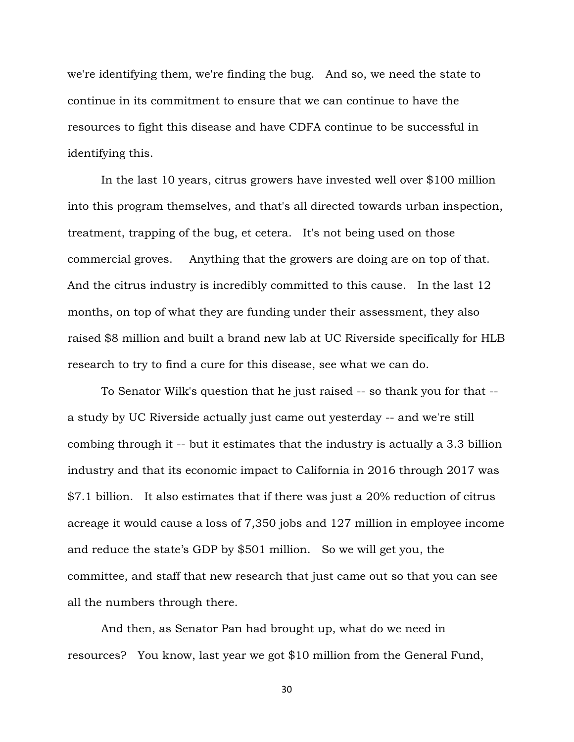we're identifying them, we're finding the bug. And so, we need the state to continue in its commitment to ensure that we can continue to have the resources to fight this disease and have CDFA continue to be successful in identifying this.

In the last 10 years, citrus growers have invested well over \$100 million into this program themselves, and that's all directed towards urban inspection, treatment, trapping of the bug, et cetera. It's not being used on those commercial groves. Anything that the growers are doing are on top of that. And the citrus industry is incredibly committed to this cause. In the last 12 months, on top of what they are funding under their assessment, they also raised \$8 million and built a brand new lab at UC Riverside specifically for HLB research to try to find a cure for this disease, see what we can do.

To Senator Wilk's question that he just raised -- so thank you for that - a study by UC Riverside actually just came out yesterday -- and we're still combing through it -- but it estimates that the industry is actually a 3.3 billion industry and that its economic impact to California in 2016 through 2017 was \$7.1 billion. It also estimates that if there was just a 20% reduction of citrus acreage it would cause a loss of 7,350 jobs and 127 million in employee income and reduce the state's GDP by \$501 million. So we will get you, the committee, and staff that new research that just came out so that you can see all the numbers through there.

And then, as Senator Pan had brought up, what do we need in resources? You know, last year we got \$10 million from the General Fund,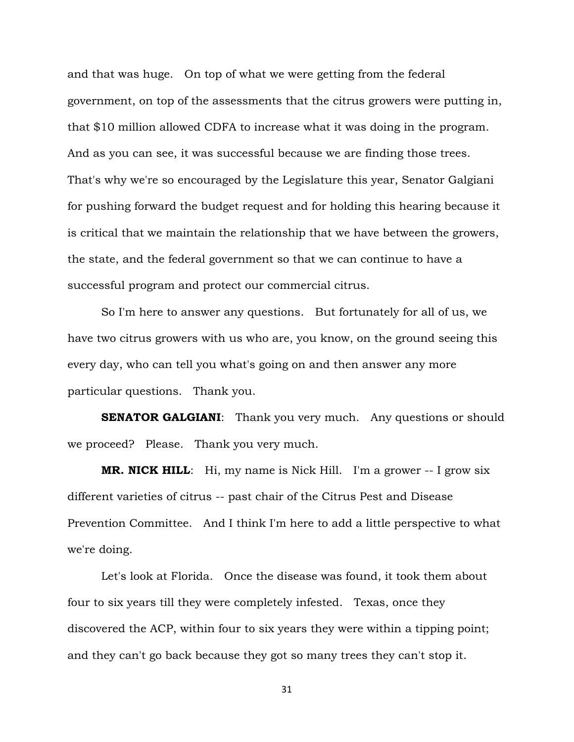and that was huge. On top of what we were getting from the federal government, on top of the assessments that the citrus growers were putting in, that \$10 million allowed CDFA to increase what it was doing in the program. And as you can see, it was successful because we are finding those trees. That's why we're so encouraged by the Legislature this year, Senator Galgiani for pushing forward the budget request and for holding this hearing because it is critical that we maintain the relationship that we have between the growers, the state, and the federal government so that we can continue to have a successful program and protect our commercial citrus.

So I'm here to answer any questions. But fortunately for all of us, we have two citrus growers with us who are, you know, on the ground seeing this every day, who can tell you what's going on and then answer any more particular questions. Thank you.

**SENATOR GALGIANI:** Thank you very much. Any questions or should we proceed? Please. Thank you very much.

**MR. NICK HILL:** Hi, my name is Nick Hill. I'm a grower -- I grow six different varieties of citrus -- past chair of the Citrus Pest and Disease Prevention Committee. And I think I'm here to add a little perspective to what we're doing.

Let's look at Florida. Once the disease was found, it took them about four to six years till they were completely infested. Texas, once they discovered the ACP, within four to six years they were within a tipping point; and they can't go back because they got so many trees they can't stop it.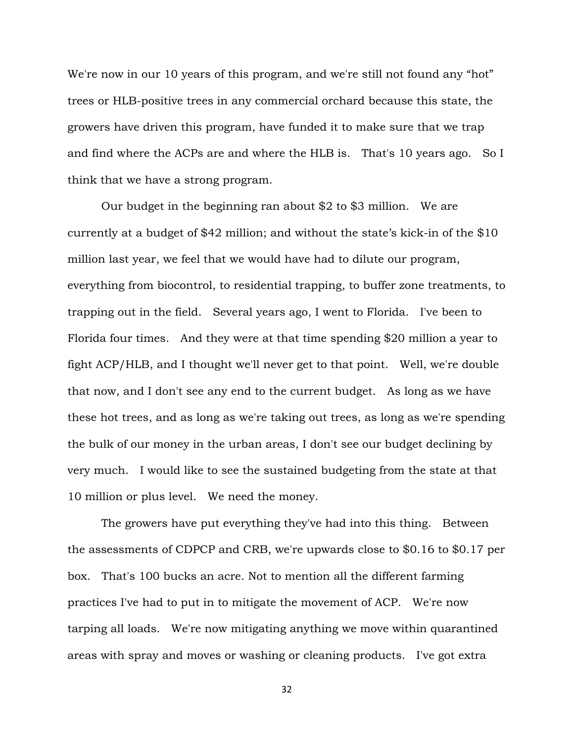We're now in our 10 years of this program, and we're still not found any "hot" trees or HLB-positive trees in any commercial orchard because this state, the growers have driven this program, have funded it to make sure that we trap and find where the ACPs are and where the HLB is. That's 10 years ago. So I think that we have a strong program.

Our budget in the beginning ran about \$2 to \$3 million. We are currently at a budget of \$42 million; and without the state's kick-in of the \$10 million last year, we feel that we would have had to dilute our program, everything from biocontrol, to residential trapping, to buffer zone treatments, to trapping out in the field. Several years ago, I went to Florida. I've been to Florida four times. And they were at that time spending \$20 million a year to fight ACP/HLB, and I thought we'll never get to that point. Well, we're double that now, and I don't see any end to the current budget. As long as we have these hot trees, and as long as we're taking out trees, as long as we're spending the bulk of our money in the urban areas, I don't see our budget declining by very much. I would like to see the sustained budgeting from the state at that 10 million or plus level. We need the money.

The growers have put everything they've had into this thing. Between the assessments of CDPCP and CRB, we're upwards close to \$0.16 to \$0.17 per box. That's 100 bucks an acre. Not to mention all the different farming practices I've had to put in to mitigate the movement of ACP. We're now tarping all loads. We're now mitigating anything we move within quarantined areas with spray and moves or washing or cleaning products. I've got extra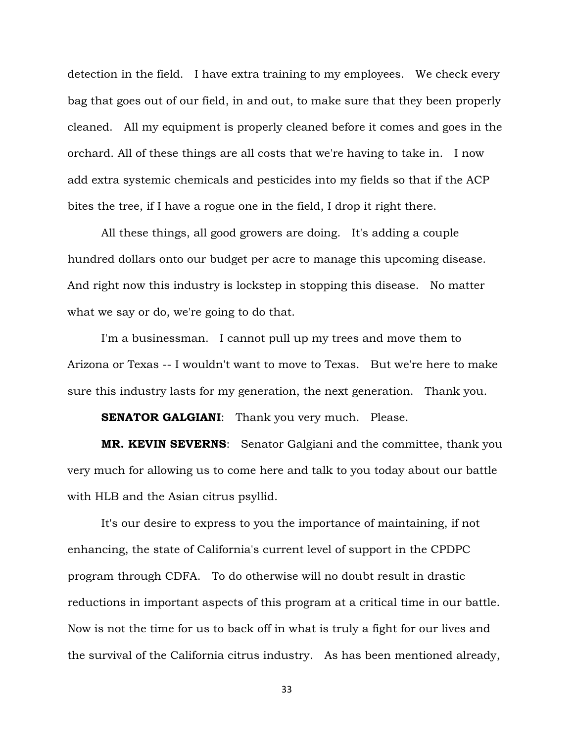detection in the field. I have extra training to my employees. We check every bag that goes out of our field, in and out, to make sure that they been properly cleaned. All my equipment is properly cleaned before it comes and goes in the orchard. All of these things are all costs that we're having to take in. I now add extra systemic chemicals and pesticides into my fields so that if the ACP bites the tree, if I have a rogue one in the field, I drop it right there.

All these things, all good growers are doing. It's adding a couple hundred dollars onto our budget per acre to manage this upcoming disease. And right now this industry is lockstep in stopping this disease. No matter what we say or do, we're going to do that.

I'm a businessman. I cannot pull up my trees and move them to Arizona or Texas -- I wouldn't want to move to Texas. But we're here to make sure this industry lasts for my generation, the next generation. Thank you.

**SENATOR GALGIANI:** Thank you very much. Please.

**MR. KEVIN SEVERNS**: Senator Galgiani and the committee, thank you very much for allowing us to come here and talk to you today about our battle with HLB and the Asian citrus psyllid.

It's our desire to express to you the importance of maintaining, if not enhancing, the state of California's current level of support in the CPDPC program through CDFA. To do otherwise will no doubt result in drastic reductions in important aspects of this program at a critical time in our battle. Now is not the time for us to back off in what is truly a fight for our lives and the survival of the California citrus industry. As has been mentioned already,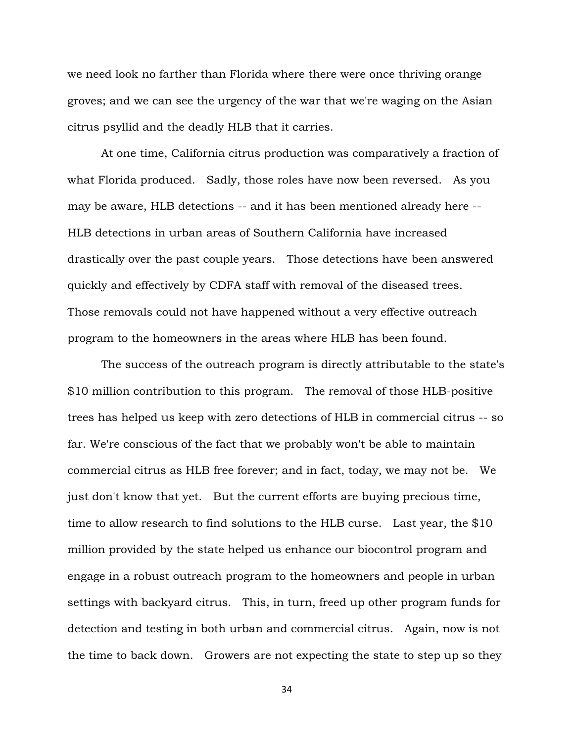we need look no farther than Florida where there were once thriving orange groves; and we can see the urgency of the war that we're waging on the Asian citrus psyllid and the deadly HLB that it carries.

At one time, California citrus production was comparatively a fraction of what Florida produced. Sadly, those roles have now been reversed. As you may be aware, HLB detections -- and it has been mentioned already here -- HLB detections in urban areas of Southern California have increased drastically over the past couple years. Those detections have been answered quickly and effectively by CDFA staff with removal of the diseased trees. Those removals could not have happened without a very effective outreach program to the homeowners in the areas where HLB has been found.

The success of the outreach program is directly attributable to the state's \$10 million contribution to this program. The removal of those HLB-positive trees has helped us keep with zero detections of HLB in commercial citrus -- so far. We're conscious of the fact that we probably won't be able to maintain commercial citrus as HLB free forever; and in fact, today, we may not be. We just don't know that yet. But the current efforts are buying precious time, time to allow research to find solutions to the HLB curse. Last year, the \$10 million provided by the state helped us enhance our biocontrol program and engage in a robust outreach program to the homeowners and people in urban settings with backyard citrus. This, in turn, freed up other program funds for detection and testing in both urban and commercial citrus. Again, now is not the time to back down. Growers are not expecting the state to step up so they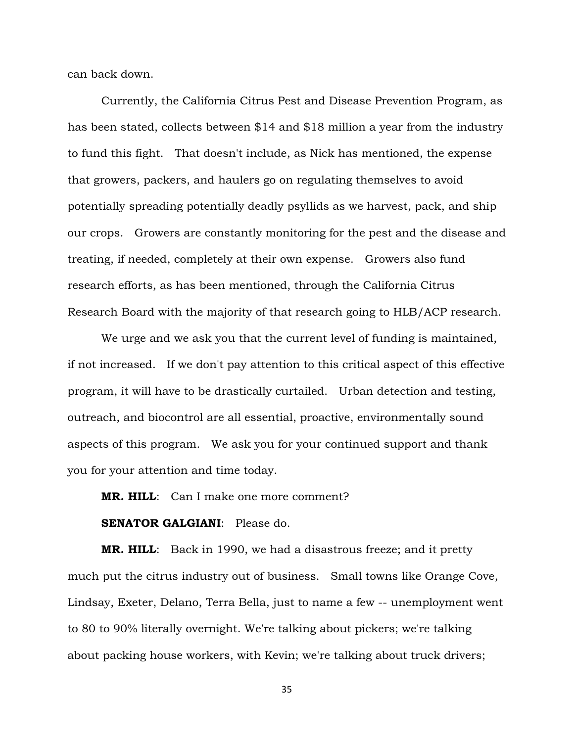can back down.

Currently, the California Citrus Pest and Disease Prevention Program, as has been stated, collects between \$14 and \$18 million a year from the industry to fund this fight. That doesn't include, as Nick has mentioned, the expense that growers, packers, and haulers go on regulating themselves to avoid potentially spreading potentially deadly psyllids as we harvest, pack, and ship our crops. Growers are constantly monitoring for the pest and the disease and treating, if needed, completely at their own expense. Growers also fund research efforts, as has been mentioned, through the California Citrus Research Board with the majority of that research going to HLB/ACP research.

We urge and we ask you that the current level of funding is maintained, if not increased. If we don't pay attention to this critical aspect of this effective program, it will have to be drastically curtailed. Urban detection and testing, outreach, and biocontrol are all essential, proactive, environmentally sound aspects of this program. We ask you for your continued support and thank you for your attention and time today.

**MR. HILL**: Can I make one more comment?

### **SENATOR GALGIANI**: Please do.

**MR. HILL**: Back in 1990, we had a disastrous freeze; and it pretty much put the citrus industry out of business. Small towns like Orange Cove, Lindsay, Exeter, Delano, Terra Bella, just to name a few -- unemployment went to 80 to 90% literally overnight. We're talking about pickers; we're talking about packing house workers, with Kevin; we're talking about truck drivers;